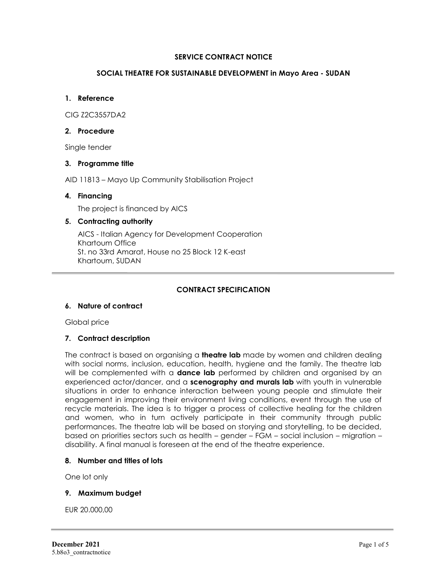### **SERVICE CONTRACT NOTICE**

### **SOCIAL THEATRE FOR SUSTAINABLE DEVELOPMENT in Mayo Area - SUDAN**

### **1. Reference**

CIG Z2C3557DA2

#### **2. Procedure**

Single tender

### **3. Programme title**

AID 11813 – Mayo Up Community Stabilisation Project

### **4. Financing**

The project is financed by AICS

# **5. Contracting authority**

AICS - Italian Agency for Development Cooperation Khartoum Office St. no 33rd Amarat, House no 25 Block 12 K-east Khartoum, SUDAN

# **CONTRACT SPECIFICATION**

# **6. Nature of contract**

Global price

# **7. Contract description**

The contract is based on organising a **theatre lab** made by women and children dealing with social norms, inclusion, education, health, hygiene and the family. The theatre lab will be complemented with a **dance lab** performed by children and organised by an experienced actor/dancer, and a **scenography and murals lab** with youth in vulnerable situations in order to enhance interaction between young people and stimulate their engagement in improving their environment living conditions, event through the use of recycle materials. The idea is to trigger a process of collective healing for the children and women, who in turn actively participate in their community through public performances. The theatre lab will be based on storying and storytelling, to be decided, based on priorities sectors such as health – gender – FGM – social inclusion – migration – disability. A final manual is foreseen at the end of the theatre experience.

#### **8. Number and titles of lots**

One lot only

#### **9. Maximum budget**

EUR 20.000,00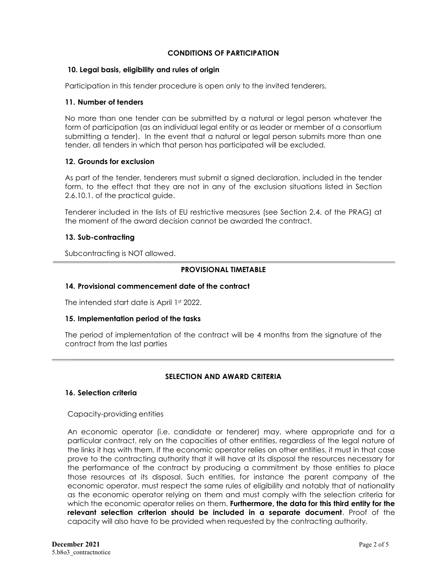## **CONDITIONS OF PARTICIPATION**

#### **10. Legal basis, eligibility and rules of origin**

Participation in this tender procedure is open only to the invited tenderers.

#### **11. Number of tenders**

No more than one tender can be submitted by a natural or legal person whatever the form of participation (as an individual legal entity or as leader or member of a consortium submitting a tender). In the event that a natural or legal person submits more than one tender, all tenders in which that person has participated will be excluded.

## **12. Grounds for exclusion**

As part of the tender, tenderers must submit a signed declaration, included in the tender form, to the effect that they are not in any of the exclusion situations listed in Section 2.6.10.1. of the practical guide.

Tenderer included in the lists of EU restrictive measures (see Section 2.4. of the PRAG) at the moment of the award decision cannot be awarded the contract.

### **13. Sub-contracting**

Subcontracting is NOT allowed.

# **PROVISIONAL TIMETABLE**

# **14. Provisional commencement date of the contract**

The intended start date is April 1st 2022.

#### **15. Implementation period of the tasks**

The period of implementation of the contract will be 4 months from the signature of the contract from the last parties

# **SELECTION AND AWARD CRITERIA**

#### **16. Selection criteria**

# Capacity-providing entities

An economic operator (i.e. candidate or tenderer) may, where appropriate and for a particular contract, rely on the capacities of other entities, regardless of the legal nature of the links it has with them. If the economic operator relies on other entities, it must in that case prove to the contracting authority that it will have at its disposal the resources necessary for the performance of the contract by producing a commitment by those entities to place those resources at its disposal. Such entities, for instance the parent company of the economic operator, must respect the same rules of eligibility and notably that of nationality as the economic operator relying on them and must comply with the selection criteria for which the economic operator relies on them. **Furthermore, the data for this third entity for the relevant selection criterion should be included in a separate document**. Proof of the capacity will also have to be provided when requested by the contracting authority.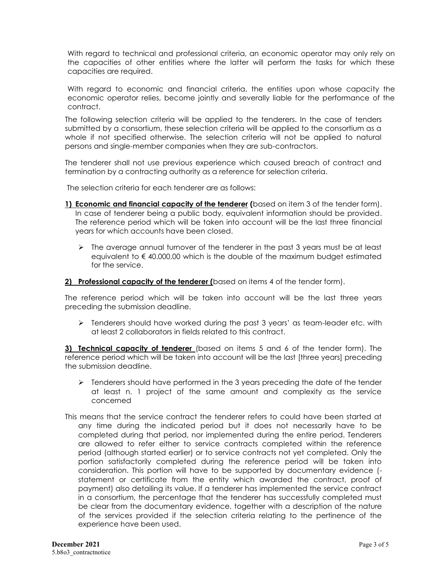With regard to technical and professional criteria, an economic operator may only rely on the capacities of other entities where the latter will perform the tasks for which these capacities are required.

With regard to economic and financial criteria, the entities upon whose capacity the economic operator relies, become jointly and severally liable for the performance of the contract.

The following selection criteria will be applied to the tenderers. In the case of tenders submitted by a consortium, these selection criteria will be applied to the consortium as a whole if not specified otherwise. The selection criteria will not be applied to natural persons and single-member companies when they are sub-contractors.

The tenderer shall not use previous experience which caused breach of contract and termination by a contracting authority as a reference for selection criteria.

The selection criteria for each tenderer are as follows:

- **1) Economic and financial capacity of the tenderer (**based on item 3 of the tender form). In case of tenderer being a public body, equivalent information should be provided. The reference period which will be taken into account will be the last three financial years for which accounts have been closed.
	- $\triangleright$  The average annual turnover of the tenderer in the past 3 years must be at least equivalent to  $\epsilon$  40.000,00 which is the double of the maximum budget estimated for the service.

**2) Professional capacity of the tenderer (**based on items 4 of the tender form).

The reference period which will be taken into account will be the last three years preceding the submission deadline.

 $\triangleright$  Tenderers should have worked during the past 3 years' as team-leader etc. with at least 2 collaborators in fields related to this contract.

**3) Technical capacity of tenderer** (based on items 5 and 6 of the tender form). The reference period which will be taken into account will be the last [three years] preceding the submission deadline.

- $\triangleright$  Tenderers should have performed in the 3 years preceding the date of the tender at least n. 1 project of the same amount and complexity as the service concerned
- This means that the service contract the tenderer refers to could have been started at any time during the indicated period but it does not necessarily have to be completed during that period, nor implemented during the entire period. Tenderers are allowed to refer either to service contracts completed within the reference period (although started earlier) or to service contracts not yet completed. Only the portion satisfactorily completed during the reference period will be taken into consideration. This portion will have to be supported by documentary evidence ( statement or certificate from the entity which awarded the contract, proof of payment) also detailing its value. If a tenderer has implemented the service contract in a consortium, the percentage that the tenderer has successfully completed must be clear from the documentary evidence, together with a description of the nature of the services provided if the selection criteria relating to the pertinence of the experience have been used.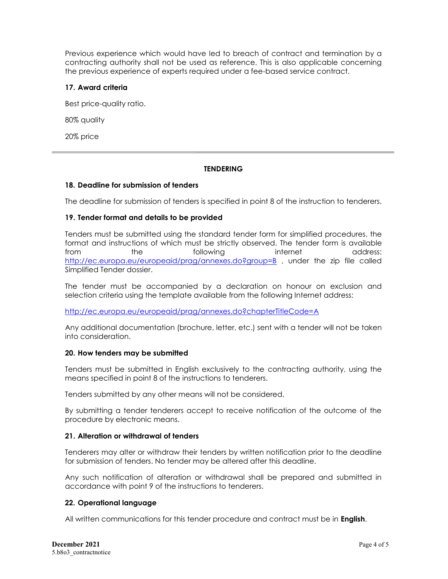Previous experience which would have led to breach of contract and termination by a contracting authority shall not be used as reference. This is also applicable concerning the previous experience of experts required under a fee-based service contract.

## **17. Award criteria**

Best price-quality ratio.

80% quality

20% price

# **TENDERING**

### **18. Deadline for submission of tenders**

The deadline for submission of tenders is specified in point 8 of the instruction to tenderers.

### **19. Tender format and details to be provided**

Tenders must be submitted using the standard tender form for simplified procedures, the format and instructions of which must be strictly observed. The tender form is available from the following internet address: <http://ec.europa.eu/europeaid/prag/annexes.do?group=B> , under the zip file called Simplified Tender dossier.

The tender must be accompanied by a declaration on honour on exclusion and selection criteria using the template available from the following Internet address:

#### <http://ec.europa.eu/europeaid/prag/annexes.do?chapterTitleCode=A>

Any additional documentation (brochure, letter, etc.) sent with a tender will not be taken into consideration.

#### **20. How tenders may be submitted**

Tenders must be submitted in English exclusively to the contracting authority, using the means specified in point 8 of the instructions to tenderers.

Tenders submitted by any other means will not be considered.

By submitting a tender tenderers accept to receive notification of the outcome of the procedure by electronic means.

# **21. Alteration or withdrawal of tenders**

Tenderers may alter or withdraw their tenders by written notification prior to the deadline for submission of tenders. No tender may be altered after this deadline.

Any such notification of alteration or withdrawal shall be prepared and submitted in accordance with point 9 of the instructions to tenderers.

# **22. Operational language**

All written communications for this tender procedure and contract must be in **English**.